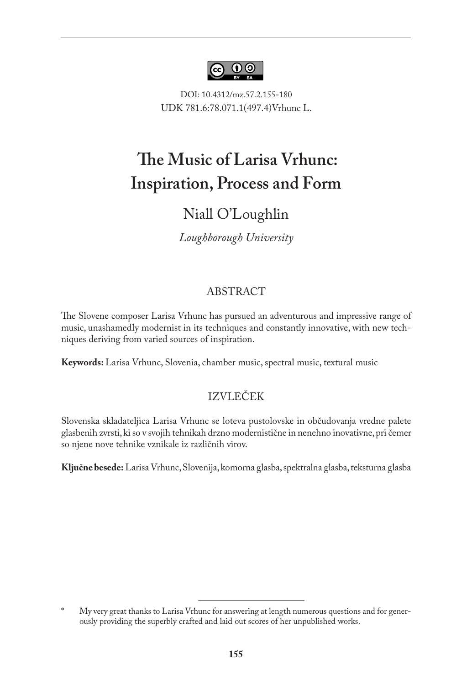

DOI: 10.4312/mz.57.2.155-180 UDK 781.6:78.071.1(497.4)Vrhunc L.

# 1 **The Music of Larisa Vrhunc: Inspiration, Process and Form**

# Niall O'Loughlin

*Loughborough University*

# ABSTRACT

The Slovene composer Larisa Vrhunc has pursued an adventurous and impressive range of music, unashamedly modernist in its techniques and constantly innovative, with new techniques deriving from varied sources of inspiration.

**Keywords:** Larisa Vrhunc, Slovenia, chamber music, spectral music, textural music

# IZVLEČEK

Slovenska skladateljica Larisa Vrhunc se loteva pustolovske in občudovanja vredne palete glasbenih zvrsti, ki so v svojih tehnikah drzno modernistične in nenehno inovativne, pri čemer so njene nove tehnike vznikale iz različnih virov.

**Ključne besede:** Larisa Vrhunc, Slovenija, komorna glasba, spektralna glasba, teksturna glasba

My very great thanks to Larisa Vrhunc for answering at length numerous questions and for generously providing the superbly crafted and laid out scores of her unpublished works.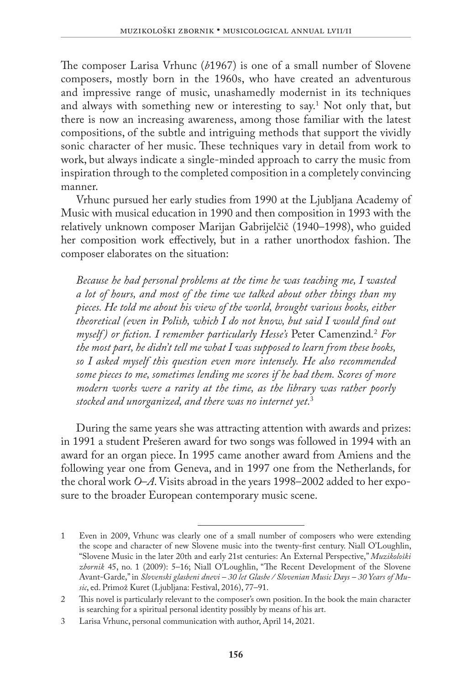The composer Larisa Vrhunc (*b*1967) is one of a small number of Slovene composers, mostly born in the 1960s, who have created an adventurous and impressive range of music, unashamedly modernist in its techniques and always with something new or interesting to say.1 Not only that, but there is now an increasing awareness, among those familiar with the latest compositions, of the subtle and intriguing methods that support the vividly sonic character of her music. These techniques vary in detail from work to work, but always indicate a single-minded approach to carry the music from inspiration through to the completed composition in a completely convincing manner.

Vrhunc pursued her early studies from 1990 at the Ljubljana Academy of Music with musical education in 1990 and then composition in 1993 with the relatively unknown composer Marijan Gabrijelčič (1940–1998), who guided her composition work effectively, but in a rather unorthodox fashion. The composer elaborates on the situation:

*Because he had personal problems at the time he was teaching me, I wasted a lot of hours, and most of the time we talked about other things than my pieces. He told me about his view of the world, brought various books, either theoretical (even in Polish, which I do not know, but said I would find out myself ) or fiction. I remember particularly Hesse's* Peter Camenzind*.* 2  *For the most part, he didn't tell me what I was supposed to learn from these books, so I asked myself this question even more intensely. He also recommended some pieces to me, sometimes lending me scores if he had them. Scores of more modern works were a rarity at the time, as the library was rather poorly stocked and unorganized, and there was no internet yet.*<sup>3</sup>

During the same years she was attracting attention with awards and prizes: in 1991 a student Prešeren award for two songs was followed in 1994 with an award for an organ piece. In 1995 came another award from Amiens and the following year one from Geneva, and in 1997 one from the Netherlands, for the choral work *O*–*A*. Visits abroad in the years 1998–2002 added to her exposure to the broader European contemporary music scene.

<sup>1</sup> Even in 2009, Vrhunc was clearly one of a small number of composers who were extending the scope and character of new Slovene music into the twenty-first century. Niall O'Loughlin, "Slovene Music in the later 20th and early 21st centuries: An External Perspective," *[Muzikološki](http://cobiss6.izum.si/scripts/cobiss?ukaz=DISP&id=1640038881926745&rec=-16404226&sid=1&fmt=11)  zbornik* [45, no. 1 \(2009\): 5–16;](http://cobiss6.izum.si/scripts/cobiss?ukaz=DISP&id=1640038881926745&rec=-16404226&sid=1&fmt=11) Niall O'Loughlin, "The Recent Development of the Slovene Avant-Garde," in *Slovenski glasbeni dnevi – 30 let Glasbe / Slovenian Music Days – 30 Years of Music*, ed. Primož Kuret (Ljubljana: Festival, 2016), 77–91.

<sup>2</sup> This novel is particularly relevant to the composer's own position. In the book the main character is searching for a spiritual personal identity possibly by means of his art.

<sup>3</sup> Larisa Vrhunc, personal communication with author, April 14, 2021.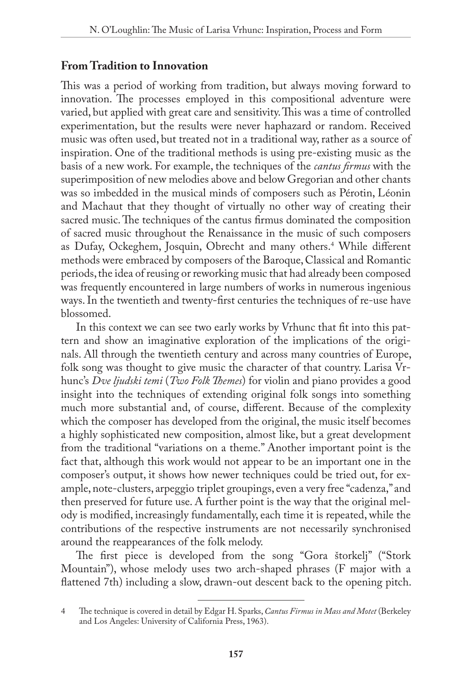## **From Tradition to Innovation**

This was a period of working from tradition, but always moving forward to innovation. The processes employed in this compositional adventure were varied, but applied with great care and sensitivity. This was a time of controlled experimentation, but the results were never haphazard or random. Received music was often used, but treated not in a traditional way, rather as a source of inspiration. One of the traditional methods is using pre-existing music as the basis of a new work. For example, the techniques of the *cantus firmus* with the superimposition of new melodies above and below Gregorian and other chants was so imbedded in the musical minds of composers such as Pérotin, Léonin and Machaut that they thought of virtually no other way of creating their sacred music. The techniques of the cantus firmus dominated the composition of sacred music throughout the Renaissance in the music of such composers as Dufay, Ockeghem, Josquin, Obrecht and many others.4 While different methods were embraced by composers of the Baroque, Classical and Romantic periods, the idea of reusing or reworking music that had already been composed was frequently encountered in large numbers of works in numerous ingenious ways. In the twentieth and twenty-first centuries the techniques of re-use have blossomed.

In this context we can see two early works by Vrhunc that fit into this pattern and show an imaginative exploration of the implications of the originals. All through the twentieth century and across many countries of Europe, folk song was thought to give music the character of that country. Larisa Vrhunc's *Dve ljudski temi* (*Two Folk Themes*) for violin and piano provides a good insight into the techniques of extending original folk songs into something much more substantial and, of course, different. Because of the complexity which the composer has developed from the original, the music itself becomes a highly sophisticated new composition, almost like, but a great development from the traditional "variations on a theme." Another important point is the fact that, although this work would not appear to be an important one in the composer's output, it shows how newer techniques could be tried out, for example, note-clusters, arpeggio triplet groupings, even a very free "cadenza," and then preserved for future use. A further point is the way that the original melody is modified, increasingly fundamentally, each time it is repeated, while the contributions of the respective instruments are not necessarily synchronised around the reappearances of the folk melody.

The first piece is developed from the song "Gora štorkelj" ("Stork Mountain"), whose melody uses two arch-shaped phrases (F major with a flattened 7th) including a slow, drawn-out descent back to the opening pitch.

<sup>4</sup> The technique is covered in detail by Edgar H. Sparks, *Cantus Firmus in Mass and Motet* (Berkeley and Los Angeles: University of California Press, 1963).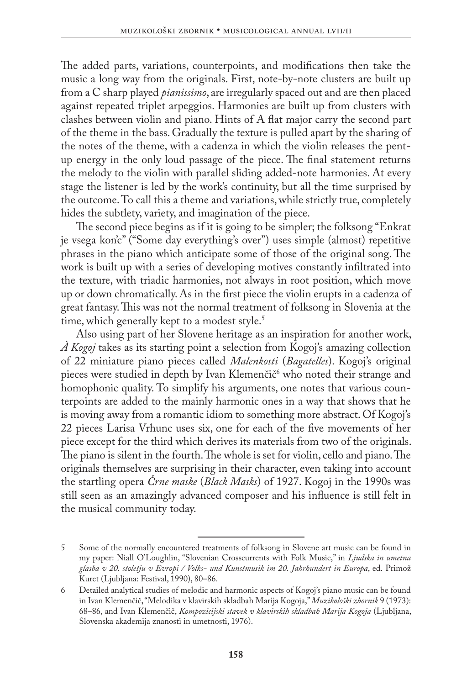The added parts, variations, counterpoints, and modifications then take the music a long way from the originals. First, note-by-note clusters are built up from a C sharp played *pianissimo*, are irregularly spaced out and are then placed against repeated triplet arpeggios. Harmonies are built up from clusters with clashes between violin and piano. Hints of A flat major carry the second part of the theme in the bass. Gradually the texture is pulled apart by the sharing of the notes of the theme, with a cadenza in which the violin releases the pentup energy in the only loud passage of the piece. The final statement returns the melody to the violin with parallel sliding added-note harmonies. At every stage the listener is led by the work's continuity, but all the time surprised by the outcome. To call this a theme and variations, while strictly true, completely hides the subtlety, variety, and imagination of the piece.

The second piece begins as if it is going to be simpler; the folksong "Enkrat je vsega kon'c" ("Some day everything's over") uses simple (almost) repetitive phrases in the piano which anticipate some of those of the original song. The work is built up with a series of developing motives constantly infiltrated into the texture, with triadic harmonies, not always in root position, which move up or down chromatically. As in the first piece the violin erupts in a cadenza of great fantasy. This was not the normal treatment of folksong in Slovenia at the time, which generally kept to a modest style.<sup>5</sup>

Also using part of her Slovene heritage as an inspiration for another work, *À Kogoj* takes as its starting point a selection from Kogoj's amazing collection of 22 miniature piano pieces called *Malenkosti* (*Bagatelles*). Kogoj's original pieces were studied in depth by Ivan Klemenčič<sup>6</sup> who noted their strange and homophonic quality. To simplify his arguments, one notes that various counterpoints are added to the mainly harmonic ones in a way that shows that he is moving away from a romantic idiom to something more abstract. Of Kogoj's 22 pieces Larisa Vrhunc uses six, one for each of the five movements of her piece except for the third which derives its materials from two of the originals. The piano is silent in the fourth. The whole is set for violin, cello and piano. The originals themselves are surprising in their character, even taking into account the startling opera *Črne maske* (*Black Masks*) of 1927. Kogoj in the 1990s was still seen as an amazingly advanced composer and his influence is still felt in the musical community today.

<sup>5</sup> Some of the normally encountered treatments of folksong in Slovene art music can be found in my paper: Niall O'Loughlin, "Slovenian Crosscurrents with Folk Music," in *[Ljudska in umetna](http://cobiss4.izum.si/scripts/cobiss?ukaz=DISP&id=1725156149602950&rec=-16428544&sid=1&fmt=11)  [glasba v 20. stoletju v Evropi / Volks- und Kunstmusik im 20. Jahrhundert in Europa](http://cobiss4.izum.si/scripts/cobiss?ukaz=DISP&id=1725156149602950&rec=-16428544&sid=1&fmt=11)*, ed. Primož [Kuret \(Ljubljana: Festival, 1990\), 80–86.](http://cobiss4.izum.si/scripts/cobiss?ukaz=DISP&id=1725156149602950&rec=-16428544&sid=1&fmt=11)

<sup>6</sup> Detailed analytical studies of melodic and harmonic aspects of Kogoj's piano music can be found in Ivan Klemenčič, "Melodika v klavirskih skladbah Marija Kogoja," *Muzikološki zbornik* 9 (1973): 68–86, and Ivan Klemenčič, *Kompozicijski stavek v klavirskih skladbah Marija Kogoja* (Ljubljana, Slovenska akademija znanosti in umetnosti, 1976).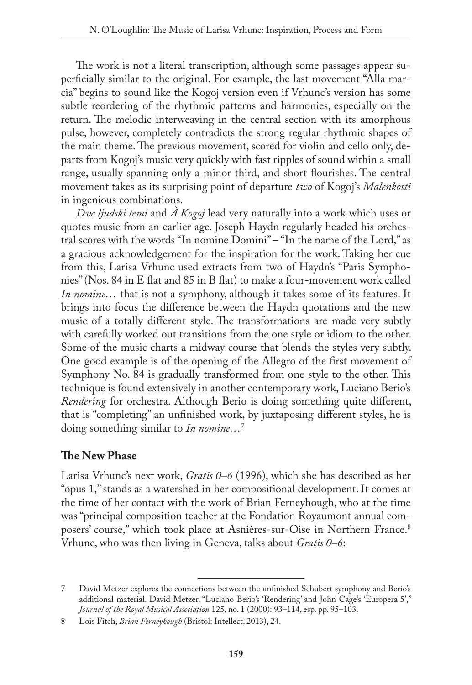The work is not a literal transcription, although some passages appear superficially similar to the original. For example, the last movement "Alla marcia" begins to sound like the Kogoj version even if Vrhunc's version has some subtle reordering of the rhythmic patterns and harmonies, especially on the return. The melodic interweaving in the central section with its amorphous pulse, however, completely contradicts the strong regular rhythmic shapes of the main theme. The previous movement, scored for violin and cello only, departs from Kogoj's music very quickly with fast ripples of sound within a small range, usually spanning only a minor third, and short flourishes. The central movement takes as its surprising point of departure *two* of Kogoj's *Malenkosti* in ingenious combinations.

*Dve ljudski temi* and *À Kogoj* lead very naturally into a work which uses or quotes music from an earlier age. Joseph Haydn regularly headed his orchestral scores with the words "In nomine Domini" – "In the name of the Lord," as a gracious acknowledgement for the inspiration for the work. Taking her cue from this, Larisa Vrhunc used extracts from two of Haydn's "Paris Symphonies" (Nos. 84 in E flat and 85 in B flat) to make a four-movement work called *In nomine*... that is not a symphony, although it takes some of its features. It brings into focus the difference between the Haydn quotations and the new music of a totally different style. The transformations are made very subtly with carefully worked out transitions from the one style or idiom to the other. Some of the music charts a midway course that blends the styles very subtly. One good example is of the opening of the Allegro of the first movement of Symphony No. 84 is gradually transformed from one style to the other. This technique is found extensively in another contemporary work, Luciano Berio's *Rendering* for orchestra. Although Berio is doing something quite different, that is "completing" an unfinished work, by juxtaposing different styles, he is doing something similar to *In nomine…*<sup>7</sup>

## **The New Phase**

Larisa Vrhunc's next work, *Gratis 0–6* (1996), which she has described as her "opus 1," stands as a watershed in her compositional development. It comes at the time of her contact with the work of Brian Ferneyhough, who at the time was "principal composition teacher at the Fondation Royaumont annual composers' course," which took place at Asnières-sur-Oise in Northern France.8 Vrhunc, who was then living in Geneva, talks about *Gratis 0–6*:

<sup>7</sup> David Metzer explores the connections between the unfinished Schubert symphony and Berio's additional material. David Metzer, "Luciano Berio's 'Rendering' and John Cage's 'Europera 5'," *Journal of the Royal Musical Association* 125, no. 1 (2000): 93–114, esp. pp. 95–103.

<sup>8</sup> Lois Fitch, *Brian Ferneyhough* (Bristol: Intellect, 2013), 24.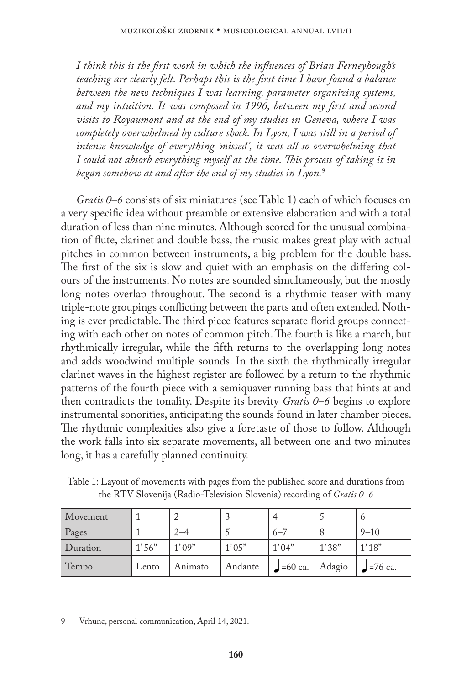*I think this is the first work in which the influences of Brian Ferneyhough's teaching are clearly felt. Perhaps this is the first time I have found a balance between the new techniques I was learning, parameter organizing systems, and my intuition. It was composed in 1996, between my first and second visits to Royaumont and at the end of my studies in Geneva, where I was completely overwhelmed by culture shock. In Lyon, I was still in a period of intense knowledge of everything 'missed', it was all so overwhelming that I could not absorb everything myself at the time. This process of taking it in began somehow at and after the end of my studies in Lyon.*<sup>9</sup>

*Gratis 0–6* consists of six miniatures (see Table 1) each of which focuses on a very specific idea without preamble or extensive elaboration and with a total duration of less than nine minutes. Although scored for the unusual combination of flute, clarinet and double bass, the music makes great play with actual pitches in common between instruments, a big problem for the double bass. The first of the six is slow and quiet with an emphasis on the differing colours of the instruments. No notes are sounded simultaneously, but the mostly long notes overlap throughout. The second is a rhythmic teaser with many triple-note groupings conflicting between the parts and often extended. Nothing is ever predictable. The third piece features separate florid groups connecting with each other on notes of common pitch. The fourth is like a march, but rhythmically irregular, while the fifth returns to the overlapping long notes and adds woodwind multiple sounds. In the sixth the rhythmically irregular clarinet waves in the highest register are followed by a return to the rhythmic patterns of the fourth piece with a semiquaver running bass that hints at and then contradicts the tonality. Despite its brevity *Gratis 0–6* begins to explore instrumental sonorities, anticipating the sounds found in later chamber pieces. The rhythmic complexities also give a foretaste of those to follow. Although the work falls into six separate movements, all between one and two minutes long, it has a carefully planned continuity.

| Movement |       |         |         | 4         |        | O         |
|----------|-------|---------|---------|-----------|--------|-----------|
| Pages    |       | $2 - 4$ |         | $6 - 7$   |        | $9 - 10$  |
| Duration | 1'56" | 1'09"   | 1'05"   | 1'04"     | 1'38"  | 1'18"     |
| Tempo    | Lento | Animato | Andante | $=60$ ca. | Adagio | $=76$ ca. |

Table 1: Layout of movements with pages from the published score and durations from the RTV Slovenija (Radio-Television Slovenia) recording of *Gratis 0–6*

9 Vrhunc, personal communication, April 14, 2021.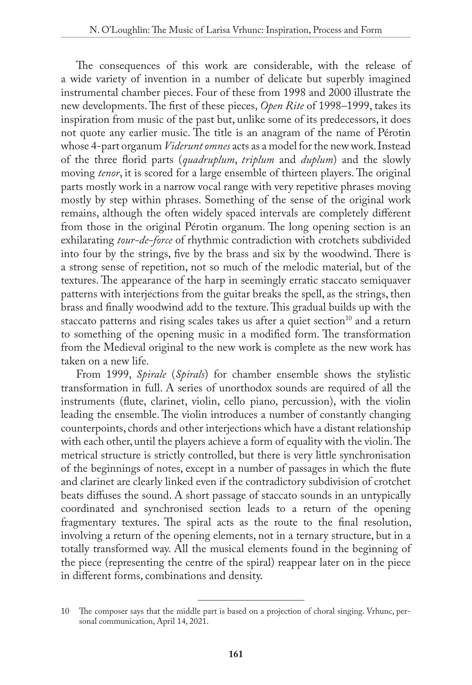The consequences of this work are considerable, with the release of a wide variety of invention in a number of delicate but superbly imagined instrumental chamber pieces. Four of these from 1998 and 2000 illustrate the new developments. The first of these pieces, *Open Rite* of 1998*–*1999, takes its inspiration from music of the past but, unlike some of its predecessors, it does not quote any earlier music. The title is an anagram of the name of Pérotin whose 4-part organum *Viderunt omnes* acts as a model for the new work. Instead of the three florid parts (*quadruplum*, *triplum* and *duplum*) and the slowly moving *tenor*, it is scored for a large ensemble of thirteen players. The original parts mostly work in a narrow vocal range with very repetitive phrases moving mostly by step within phrases. Something of the sense of the original work remains, although the often widely spaced intervals are completely different from those in the original Pérotin organum. The long opening section is an exhilarating *tour-de-force* of rhythmic contradiction with crotchets subdivided into four by the strings, five by the brass and six by the woodwind. There is a strong sense of repetition, not so much of the melodic material, but of the textures. The appearance of the harp in seemingly erratic staccato semiquaver patterns with interjections from the guitar breaks the spell, as the strings, then brass and finally woodwind add to the texture. This gradual builds up with the staccato patterns and rising scales takes us after a quiet section $10$  and a return to something of the opening music in a modified form. The transformation from the Medieval original to the new work is complete as the new work has taken on a new life.

From 1999, *Spirale* (*Spirals*) for chamber ensemble shows the stylistic transformation in full. A series of unorthodox sounds are required of all the instruments (flute, clarinet, violin, cello piano, percussion), with the violin leading the ensemble. The violin introduces a number of constantly changing counterpoints, chords and other interjections which have a distant relationship with each other, until the players achieve a form of equality with the violin. The metrical structure is strictly controlled, but there is very little synchronisation of the beginnings of notes, except in a number of passages in which the flute and clarinet are clearly linked even if the contradictory subdivision of crotchet beats diffuses the sound. A short passage of staccato sounds in an untypically coordinated and synchronised section leads to a return of the opening fragmentary textures. The spiral acts as the route to the final resolution, involving a return of the opening elements, not in a ternary structure, but in a totally transformed way. All the musical elements found in the beginning of the piece (representing the centre of the spiral) reappear later on in the piece in different forms, combinations and density.

<sup>10</sup> The composer says that the middle part is based on a projection of choral singing. Vrhunc, personal communication, April 14, 2021.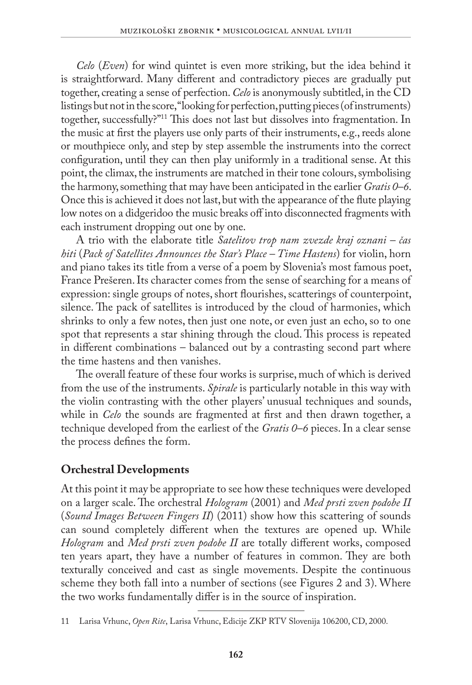*Celo* (*Even*) for wind quintet is even more striking, but the idea behind it is straightforward. Many different and contradictory pieces are gradually put together, creating a sense of perfection. *Celo* is anonymously subtitled, in the CD listings but not in the score, "looking for perfection, putting pieces (of instruments) together, successfully?"11 This does not last but dissolves into fragmentation. In the music at first the players use only parts of their instruments, e.g., reeds alone or mouthpiece only, and step by step assemble the instruments into the correct configuration, until they can then play uniformly in a traditional sense. At this point, the climax, the instruments are matched in their tone colours, symbolising the harmony, something that may have been anticipated in the earlier *Gratis 0–6*. Once this is achieved it does not last, but with the appearance of the flute playing low notes on a didgeridoo the music breaks off into disconnected fragments with each instrument dropping out one by one.

A trio with the elaborate title *Satelitov trop nam zvezde kraj oznani – čas hiti* (*Pack of Satellites Announces the Star's Place – Time Hastens*) for violin, horn and piano takes its title from a verse of a poem by Slovenia's most famous poet, France Prešeren. Its character comes from the sense of searching for a means of expression: single groups of notes, short flourishes, scatterings of counterpoint, silence. The pack of satellites is introduced by the cloud of harmonies, which shrinks to only a few notes, then just one note, or even just an echo, so to one spot that represents a star shining through the cloud. This process is repeated in different combinations – balanced out by a contrasting second part where the time hastens and then vanishes.

The overall feature of these four works is surprise, much of which is derived from the use of the instruments. *Spirale* is particularly notable in this way with the violin contrasting with the other players' unusual techniques and sounds, while in *Celo* the sounds are fragmented at first and then drawn together, a technique developed from the earliest of the *Gratis 0–6* pieces. In a clear sense the process defines the form.

# **Orchestral Developments**

At this point it may be appropriate to see how these techniques were developed on a larger scale. The orchestral *Hologram* (2001) and *Med prsti zven podobe II* (*Sound Images Between Fingers II*) (2011) show how this scattering of sounds can sound completely different when the textures are opened up. While *Hologram* and *Med prsti zven podobe II* are totally different works, composed ten years apart, they have a number of features in common. They are both texturally conceived and cast as single movements. Despite the continuous scheme they both fall into a number of sections (see Figures 2 and 3). Where the two works fundamentally differ is in the source of inspiration.

<sup>11</sup> Larisa Vrhunc, *Open Rite*, Larisa Vrhunc, Edicije ZKP RTV Slovenija 106200, CD, 2000.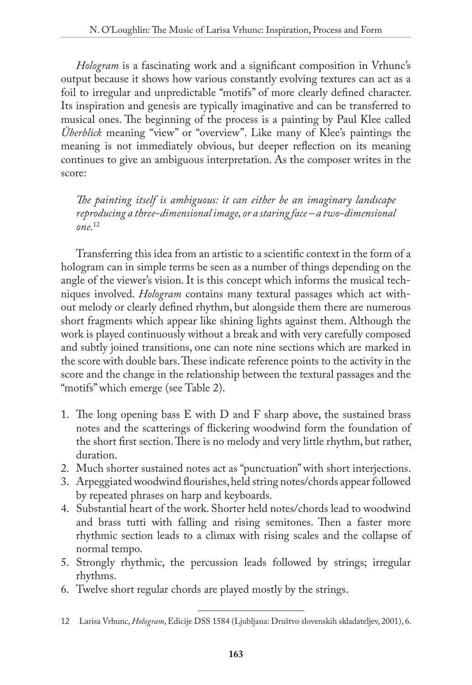*Hologram* is a fascinating work and a significant composition in Vrhunc's output because it shows how various constantly evolving textures can act as a foil to irregular and unpredictable "motifs" of more clearly defined character. Its inspiration and genesis are typically imaginative and can be transferred to musical ones. The beginning of the process is a painting by Paul Klee called *Überblick* meaning "view" or "overview". Like many of Klee's paintings the meaning is not immediately obvious, but deeper reflection on its meaning continues to give an ambiguous interpretation. As the composer writes in the score:

*The painting itself is ambiguous: it can either be an imaginary landscape reproducing a three-dimensional image, or a staring face – a two-dimensional one.*<sup>12</sup>

Transferring this idea from an artistic to a scientific context in the form of a hologram can in simple terms be seen as a number of things depending on the angle of the viewer's vision. It is this concept which informs the musical techniques involved. *Hologram* contains many textural passages which act without melody or clearly defined rhythm, but alongside them there are numerous short fragments which appear like shining lights against them. Although the work is played continuously without a break and with very carefully composed and subtly joined transitions, one can note nine sections which are marked in the score with double bars. These indicate reference points to the activity in the score and the change in the relationship between the textural passages and the "motifs" which emerge (see Table 2).

- 1. The long opening bass E with D and F sharp above, the sustained brass notes and the scatterings of flickering woodwind form the foundation of the short first section. There is no melody and very little rhythm, but rather, duration.
- 2. Much shorter sustained notes act as "punctuation" with short interjections.
- 3. Arpeggiated woodwind flourishes, held string notes/chords appear followed by repeated phrases on harp and keyboards.
- 4. Substantial heart of the work. Shorter held notes/chords lead to woodwind and brass tutti with falling and rising semitones. Then a faster more rhythmic section leads to a climax with rising scales and the collapse of normal tempo.
- 5. Strongly rhythmic, the percussion leads followed by strings; irregular rhythms.
- 6. Twelve short regular chords are played mostly by the strings.

<sup>12</sup> Larisa Vrhunc, *Hologram*, Edicije DSS 1584 (Ljubljana: Društvo slovenskih skladateljev, 2001), 6.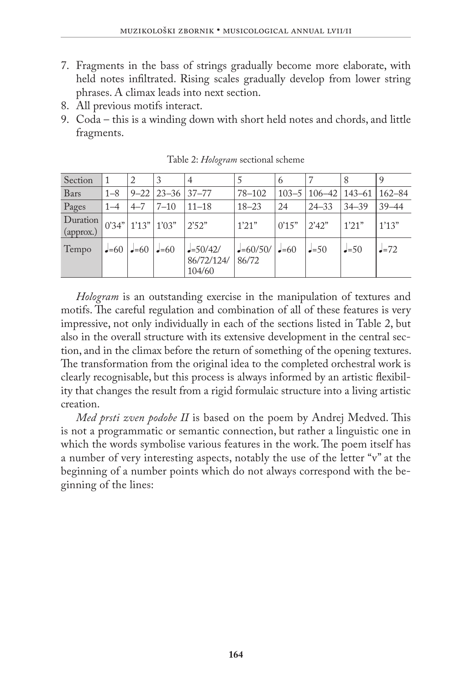- 7. Fragments in the bass of strings gradually become more elaborate, with held notes infiltrated. Rising scales gradually develop from lower string phrases. A climax leads into next section.
- 8. All previous motifs interact.
- 9. Coda this is a winding down with short held notes and chords, and little fragments.

| Section               |         |                         |                                    |                                    |                          | 6         |                     |           | 9          |
|-----------------------|---------|-------------------------|------------------------------------|------------------------------------|--------------------------|-----------|---------------------|-----------|------------|
| Bars                  | $1 - 8$ |                         | $9 - 22 \mid 23 - 36 \mid 37 - 77$ |                                    | $78 - 102$               | $103 - 5$ | $106 - 42$   143-61 |           | $162 - 84$ |
| Pages                 | $1 - 4$ | $4 - 7$                 | $7 - 10$                           | $11 - 18$                          | $18 - 23$                | 24        | $24 - 33$           | $34 - 39$ | $39 - 44$  |
| Duration<br>(approx.) |         | $ 0'34"$ 1'13" 1'03"    |                                    | 2'52"                              | 1'21"                    | 0'15"     | 2'42"               | 1'21"     | 1'13"      |
| Tempo                 |         | $-60$ $-60$ $-60$ $-60$ |                                    | $J=50/42/$<br>86/72/124/<br>104/60 | $-60/50/$ $-60$<br>86/72 |           | $J = 50$            | $J = 50$  | $=72$      |

Table 2: *Hologram* sectional scheme

*Hologram* is an outstanding exercise in the manipulation of textures and motifs. The careful regulation and combination of all of these features is very impressive, not only individually in each of the sections listed in Table 2, but also in the overall structure with its extensive development in the central section, and in the climax before the return of something of the opening textures. The transformation from the original idea to the completed orchestral work is clearly recognisable, but this process is always informed by an artistic flexibility that changes the result from a rigid formulaic structure into a living artistic creation.

*Med prsti zven podobe II* is based on the poem by Andrej Medved. This is not a programmatic or semantic connection, but rather a linguistic one in which the words symbolise various features in the work. The poem itself has a number of very interesting aspects, notably the use of the letter "v" at the beginning of a number points which do not always correspond with the beginning of the lines: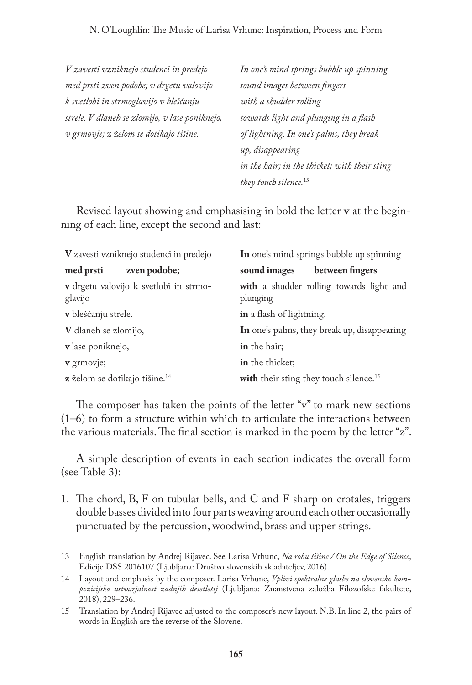*V zavesti vzniknejo studenci in predejo med prsti zven podobe; v drgetu valovijo k svetlobi in strmoglavijo v bleščanju strele. V dlaneh se zlomijo, v lase poniknejo, v grmovje; z želom se dotikajo tišine.*

*In one's mind springs bubble up spinning sound images between fingers with a shudder rolling towards light and plunging in a flash of lightning. In one's palms, they break up, disappearing in the hair; in the thicket; with their sting they touch silence.*<sup>13</sup>

Revised layout showing and emphasising in bold the letter **v** at the beginning of each line, except the second and last:

| V zavesti vzniknejo studenci in predejo           | In one's mind springs bubble up spinning             |  |  |  |  |
|---------------------------------------------------|------------------------------------------------------|--|--|--|--|
| med prsti<br>zven podobe;                         | sound images<br>between fingers                      |  |  |  |  |
| v drgetu valovijo k svetlobi in strmo-<br>glavijo | with a shudder rolling towards light and<br>plunging |  |  |  |  |
| v bleščanju strele.                               | in a flash of lightning.                             |  |  |  |  |
| V dlaneh se zlomijo,                              | In one's palms, they break up, disappearing          |  |  |  |  |
| v lase poniknejo,                                 | in the hair;                                         |  |  |  |  |
| v grmovje;                                        | in the thicket;                                      |  |  |  |  |
| z želom se dotikajo tišine. <sup>14</sup>         | with their sting they touch silence. <sup>15</sup>   |  |  |  |  |

The composer has taken the points of the letter "v" to mark new sections (1–6) to form a structure within which to articulate the interactions between the various materials. The final section is marked in the poem by the letter "z".

A simple description of events in each section indicates the overall form (see Table 3):

1. The chord, B, F on tubular bells, and C and F sharp on crotales, triggers double basses divided into four parts weaving around each other occasionally punctuated by the percussion, woodwind, brass and upper strings.

<sup>13</sup> English translation by Andrej Rijavec. See Larisa Vrhunc, *Na robu tišine / On the Edge of Silence*, Edicije DSS 2016107 (Ljubljana: Društvo slovenskih skladateljev, 2016).

<sup>14</sup> Layout and emphasis by the composer. Larisa Vrhunc, *Vplivi spektralne glasbe na slovensko kompozicijsko ustvarjalnost zadnjih desetletij* (Ljubljana: Znanstvena založba Filozofske fakultete, 2018), 229–236.

<sup>15</sup> Translation by Andrej Rijavec adjusted to the composer's new layout. N.B. In line 2, the pairs of words in English are the reverse of the Slovene.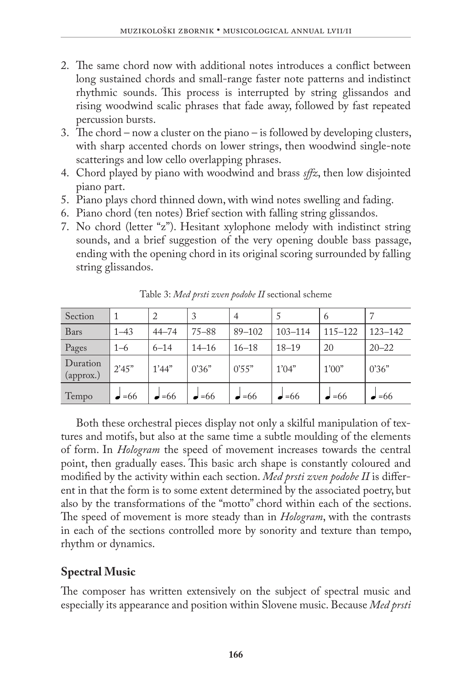- 2. The same chord now with additional notes introduces a conflict between long sustained chords and small-range faster note patterns and indistinct rhythmic sounds. This process is interrupted by string glissandos and rising woodwind scalic phrases that fade away, followed by fast repeated percussion bursts.
- 3. The chord now a cluster on the piano is followed by developing clusters, with sharp accented chords on lower strings, then woodwind single-note scatterings and low cello overlapping phrases.
- 4. Chord played by piano with woodwind and brass *sffz*, then low disjointed piano part.
- 5. Piano plays chord thinned down, with wind notes swelling and fading.
- 6. Piano chord (ten notes) Brief section with falling string glissandos.
- 7. No chord (letter "z"). Hesitant xylophone melody with indistinct string sounds, and a brief suggestion of the very opening double bass passage, ending with the opening chord in its original scoring surrounded by falling string glissandos.

| Section               |               |               | 3             | $\overline{A}$ |               | 6             |               |
|-----------------------|---------------|---------------|---------------|----------------|---------------|---------------|---------------|
| Bars                  | $1 - 43$      | $44 - 74$     | $75 - 88$     | $89 - 102$     | $103 - 114$   | $115 - 122$   | $123 - 142$   |
| Pages                 | $1 - 6$       | $6 - 14$      | $14 - 16$     | $16 - 18$      | $18 - 19$     | 20            | $20 - 22$     |
| Duration<br>(approx.) | 2'45"         | 1'44"         | 0'36"         | 0.55"          | 1'04"         | 1'00"         | 0'36"         |
| Tempo                 | $\bullet$ =66 | $\bullet$ =66 | $\bullet$ =66 | $\bullet$ =66  | $\bullet$ =66 | $\bullet$ =66 | $\bullet$ =66 |

Table 3: *Med prsti zven podobe II* sectional scheme

Both these orchestral pieces display not only a skilful manipulation of textures and motifs, but also at the same time a subtle moulding of the elements of form. In *Hologram* the speed of movement increases towards the central point, then gradually eases. This basic arch shape is constantly coloured and modified by the activity within each section. *Med prsti zven podobe II* is different in that the form is to some extent determined by the associated poetry, but also by the transformations of the "motto" chord within each of the sections. The speed of movement is more steady than in *Hologram*, with the contrasts in each of the sections controlled more by sonority and texture than tempo, rhythm or dynamics.

# **Spectral Music**

The composer has written extensively on the subject of spectral music and especially its appearance and position within Slovene music. Because *Med prsti*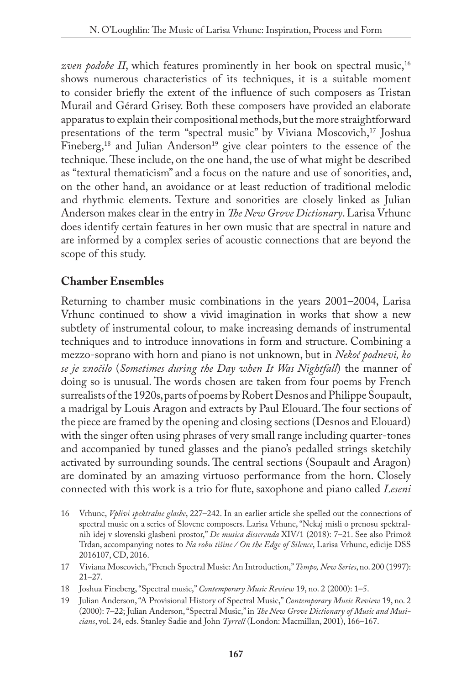*zven podobe II*, which features prominently in her book on spectral music,<sup>16</sup> shows numerous characteristics of its techniques, it is a suitable moment to consider briefly the extent of the influence of such composers as Tristan Murail and Gérard Grisey. Both these composers have provided an elaborate apparatus to explain their compositional methods, but the more straightforward presentations of the term "spectral music" by Viviana Moscovich,<sup>17</sup> Joshua Fineberg,<sup>18</sup> and Julian Anderson<sup>19</sup> give clear pointers to the essence of the technique. These include, on the one hand, the use of what might be described as "textural thematicism" and a focus on the nature and use of sonorities, and, on the other hand, an avoidance or at least reduction of traditional melodic and rhythmic elements. Texture and sonorities are closely linked as Julian Anderson makes clear in the entry in *The New Grove Dictionary*. Larisa Vrhunc does identify certain features in her own music that are spectral in nature and are informed by a complex series of acoustic connections that are beyond the scope of this study.

# **Chamber Ensembles**

Returning to chamber music combinations in the years 2001–2004, Larisa Vrhunc continued to show a vivid imagination in works that show a new subtlety of instrumental colour, to make increasing demands of instrumental techniques and to introduce innovations in form and structure. Combining a mezzo-soprano with horn and piano is not unknown, but in *Nekoč podnevi, ko se je znočilo* (*Sometimes during the Day when It Was Nightfall*) the manner of doing so is unusual. The words chosen are taken from four poems by French surrealists of the 1920s, parts of poems by Robert Desnos and Philippe Soupault, a madrigal by Louis Aragon and extracts by Paul Elouard. The four sections of the piece are framed by the opening and closing sections (Desnos and Elouard) with the singer often using phrases of very small range including quarter-tones and accompanied by tuned glasses and the piano's pedalled strings sketchily activated by surrounding sounds. The central sections (Soupault and Aragon) are dominated by an amazing virtuoso performance from the horn. Closely connected with this work is a trio for flute, saxophone and piano called *Leseni* 

<sup>16</sup> Vrhunc, *Vplivi spektralne glasbe*, 227–242. In an earlier article she spelled out the connections of spectral music on a series of Slovene composers. Larisa Vrhunc, "Nekaj misli o prenosu spektralnih idej v slovenski glasbeni prostor," *De musica disserenda* XIV/1 (2018): 7–21. See also Primož Trdan, accompanying notes to *Na robu tišine / On the Edge of Silence*, Larisa Vrhunc, edicije DSS 2016107, CD, 2016.

<sup>17</sup> Viviana Moscovich, "French Spectral Music: An Introduction," *Tempo, New Series*, no. 200 (1997): 21–27.

<sup>18</sup> Joshua Fineberg, "Spectral music," *Contemporary Music Review* 19, no. 2 (2000): 1–5.

<sup>19</sup> Julian Anderson, "A Provisional History of Spectral Music," *Contemporary Music Review* 19, no. 2 (2000): 7–22; Julian Anderson, "Spectral Music," in *The New Grove Dictionary of Music and Musicians*, vol. 24, eds. Stanley Sadie and John *Tyrrell* (London: Macmillan, 2001), 166–167.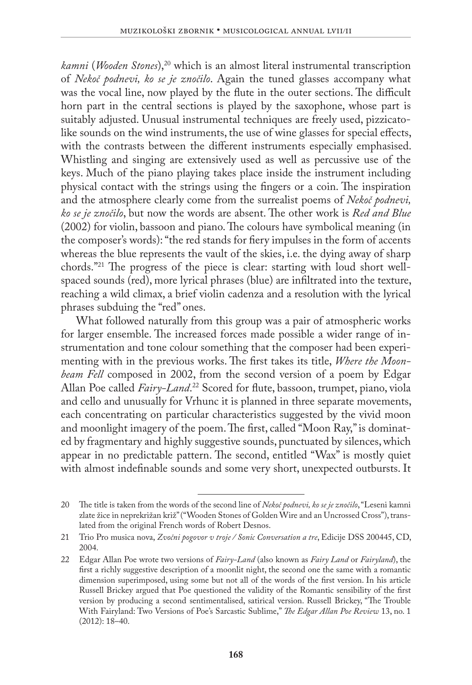*kamni* (*Wooden Stones*),20 which is an almost literal instrumental transcription of *Nekoč podnevi, ko se je znočilo*. Again the tuned glasses accompany what was the vocal line, now played by the flute in the outer sections. The difficult horn part in the central sections is played by the saxophone, whose part is suitably adjusted. Unusual instrumental techniques are freely used, pizzicatolike sounds on the wind instruments, the use of wine glasses for special effects, with the contrasts between the different instruments especially emphasised. Whistling and singing are extensively used as well as percussive use of the keys. Much of the piano playing takes place inside the instrument including physical contact with the strings using the fingers or a coin. The inspiration and the atmosphere clearly come from the surrealist poems of *Nekoč podnevi, ko se je znočilo*, but now the words are absent. The other work is *Red and Blue* (2002) for violin, bassoon and piano. The colours have symbolical meaning (in the composer's words): "the red stands for fiery impulses in the form of accents whereas the blue represents the vault of the skies, i.e. the dying away of sharp chords."21 The progress of the piece is clear: starting with loud short wellspaced sounds (red), more lyrical phrases (blue) are infiltrated into the texture, reaching a wild climax, a brief violin cadenza and a resolution with the lyrical phrases subduing the "red" ones.

What followed naturally from this group was a pair of atmospheric works for larger ensemble. The increased forces made possible a wider range of instrumentation and tone colour something that the composer had been experimenting with in the previous works. The first takes its title, *Where the Moonbeam Fell* composed in 2002, from the second version of a poem by Edgar Allan Poe called *Fairy-Land*. 22 Scored for flute, bassoon, trumpet, piano, viola and cello and unusually for Vrhunc it is planned in three separate movements, each concentrating on particular characteristics suggested by the vivid moon and moonlight imagery of the poem. The first, called "Moon Ray," is dominated by fragmentary and highly suggestive sounds, punctuated by silences, which appear in no predictable pattern. The second, entitled "Wax" is mostly quiet with almost indefinable sounds and some very short, unexpected outbursts. It

<sup>20</sup> The title is taken from the words of the second line of *Nekoč podnevi, ko se je znočilo*, "Leseni kamni zlate žice in neprekrižan križ" ("Wooden Stones of Golden Wire and an Uncrossed Cross"), translated from the original French words of Robert Desnos.

<sup>21</sup> Trio Pro musica nova, *Zvočni pogovor v troje / Sonic Conversation a tre*, Edicije DSS 200445, CD, 2004.

<sup>22</sup> Edgar Allan Poe wrote two versions of *Fairy-Land* (also known as *Fairy Land* or *Fairyland*), the first a richly suggestive description of a moonlit night, the second one the same with a romantic dimension superimposed, using some but not all of the words of the first version. In his article Russell Brickey argued that Poe questioned the validity of the Romantic sensibility of the first version by producing a second sentimentalised, satirical version. Russell Brickey, "The Trouble With Fairyland: Two Versions of Poe's Sarcastic Sublime," *The Edgar Allan Poe Review* 13, no. 1 (2012): 18–40.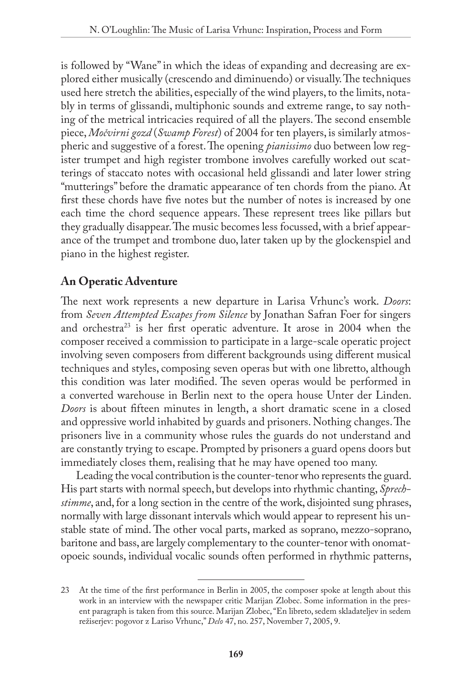is followed by "Wane" in which the ideas of expanding and decreasing are explored either musically (crescendo and diminuendo) or visually. The techniques used here stretch the abilities, especially of the wind players, to the limits, notably in terms of glissandi, multiphonic sounds and extreme range, to say nothing of the metrical intricacies required of all the players. The second ensemble piece, *Močvirni gozd* (*Swamp Forest*) of 2004 for ten players, is similarly atmospheric and suggestive of a forest. The opening *pianissimo* duo between low register trumpet and high register trombone involves carefully worked out scatterings of staccato notes with occasional held glissandi and later lower string "mutterings" before the dramatic appearance of ten chords from the piano. At first these chords have five notes but the number of notes is increased by one each time the chord sequence appears. These represent trees like pillars but they gradually disappear. The music becomes less focussed, with a brief appearance of the trumpet and trombone duo, later taken up by the glockenspiel and piano in the highest register.

# **An Operatic Adventure**

The next work represents a new departure in Larisa Vrhunc's work. *Doors*: from *Seven Attempted Escapes from Silence* by Jonathan Safran Foer for singers and orchestra23 is her first operatic adventure. It arose in 2004 when the composer received a commission to participate in a large-scale operatic project involving seven composers from different backgrounds using different musical techniques and styles, composing seven operas but with one libretto, although this condition was later modified. The seven operas would be performed in a converted warehouse in Berlin next to the opera house Unter der Linden. *Doors* is about fifteen minutes in length, a short dramatic scene in a closed and oppressive world inhabited by guards and prisoners. Nothing changes. The prisoners live in a community whose rules the guards do not understand and are constantly trying to escape. Prompted by prisoners a guard opens doors but immediately closes them, realising that he may have opened too many.

Leading the vocal contribution is the counter-tenor who represents the guard. His part starts with normal speech, but develops into rhythmic chanting, *Sprechstimme*, and, for a long section in the centre of the work, disjointed sung phrases, normally with large dissonant intervals which would appear to represent his unstable state of mind. The other vocal parts, marked as soprano, mezzo-soprano, baritone and bass, are largely complementary to the counter-tenor with onomatopoeic sounds, individual vocalic sounds often performed in rhythmic patterns,

<sup>23</sup> At the time of the first performance in Berlin in 2005, the composer spoke at length about this work in an interview with the newspaper critic Marijan Zlobec. Some information in the present paragraph is taken from this source. Marijan Zlobec, "En libreto, sedem skladateljev in sedem režiserjev: pogovor z Lariso Vrhunc," *Delo* 47, no. 257, November 7, 2005, 9.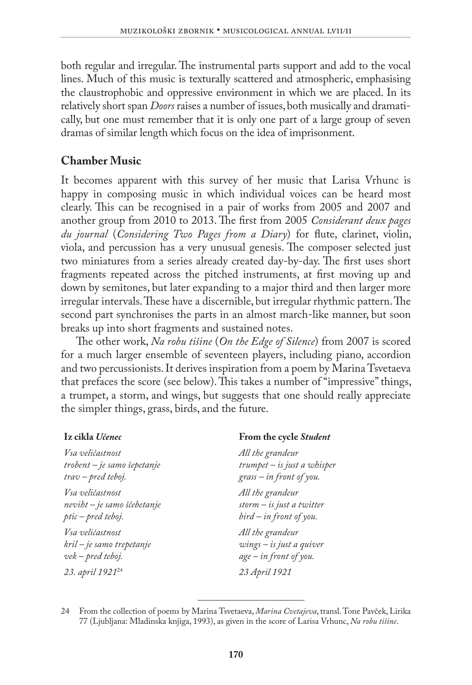both regular and irregular. The instrumental parts support and add to the vocal lines. Much of this music is texturally scattered and atmospheric, emphasising the claustrophobic and oppressive environment in which we are placed. In its relatively short span *Doors* raises a number of issues, both musically and dramatically, but one must remember that it is only one part of a large group of seven dramas of similar length which focus on the idea of imprisonment.

# **Chamber Music**

It becomes apparent with this survey of her music that Larisa Vrhunc is happy in composing music in which individual voices can be heard most clearly. This can be recognised in a pair of works from 2005 and 2007 and another group from 2010 to 2013. The first from 2005 *Considerant deux pages du journal* (*Considering Two Pages from a Diary*) for flute, clarinet, violin, viola, and percussion has a very unusual genesis. The composer selected just two miniatures from a series already created day-by-day. The first uses short fragments repeated across the pitched instruments, at first moving up and down by semitones, but later expanding to a major third and then larger more irregular intervals. These have a discernible, but irregular rhythmic pattern. The second part synchronises the parts in an almost march-like manner, but soon breaks up into short fragments and sustained notes.

The other work, *Na robu tišine* (*On the Edge of Silence*) from 2007 is scored for a much larger ensemble of seventeen players, including piano, accordion and two percussionists. It derives inspiration from a poem by Marina Tsvetaeva that prefaces the score (see below). This takes a number of "impressive" things, a trumpet, a storm, and wings, but suggests that one should really appreciate the simpler things, grass, birds, and the future.

**From the cycle** *Student*

#### **Iz cikla** *Učenec*

| Vsa veličastnost             | All the grandeur            |
|------------------------------|-----------------------------|
| trobent – je samo šepetanje  | trumpet – is just a whisper |
| trav – pred teboj.           | $grass - in front of you.$  |
| Vsa veličastnost             | All the grandeur            |
| neviht – je samo ščebetanje  | storm $-$ is just a twitter |
| ptic – pred teboj.           | $bird - in front of you.$   |
| Vsa veličastnost             | All the grandeur            |
| kril – je samo trepetanje    | $wings - is just a quiver$  |
| vek – pred teboj.            | age - in front of you.      |
| 23. april 1921 <sup>24</sup> | 23 April 1921               |
|                              |                             |

24 From the collection of poems by Marina Tsvetaeva, *Marina Cvetajeva*, transl. Tone Pavček, Lirika 77 (Ljubljana: Mladinska knjiga, 1993), as given in the score of Larisa Vrhunc, *Na robu tišine*.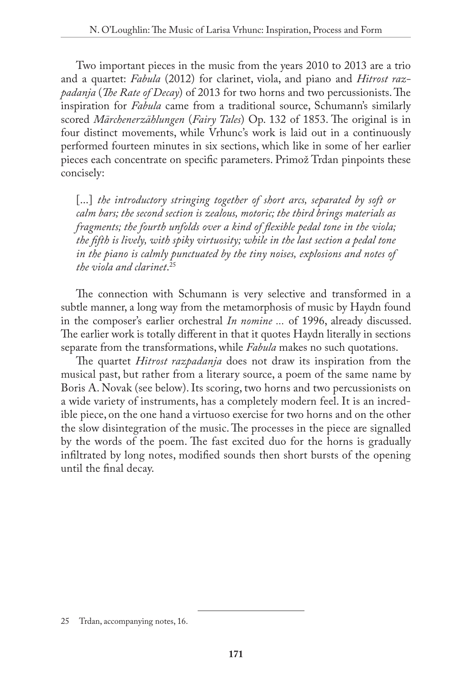Two important pieces in the music from the years 2010 to 2013 are a trio and a quartet: *Fabula* (2012) for clarinet, viola, and piano and *Hitrost razpadanja* (*The Rate of Decay*) of 2013 for two horns and two percussionists. The inspiration for *Fabula* came from a traditional source, Schumann's similarly scored *Märchenerzählungen* (*Fairy Tales*) Op. 132 of 1853. The original is in four distinct movements, while Vrhunc's work is laid out in a continuously performed fourteen minutes in six sections, which like in some of her earlier pieces each concentrate on specific parameters. Primož Trdan pinpoints these concisely:

[...] *the introductory stringing together of short arcs, separated by soft or calm bars; the second section is zealous, motoric; the third brings materials as fragments; the fourth unfolds over a kind of flexible pedal tone in the viola; the fifth is lively, with spiky virtuosity; while in the last section a pedal tone in the piano is calmly punctuated by the tiny noises, explosions and notes of the viola and clarinet*. 25

The connection with Schumann is very selective and transformed in a subtle manner, a long way from the metamorphosis of music by Haydn found in the composer's earlier orchestral *In nomine ...* of 1996, already discussed. The earlier work is totally different in that it quotes Haydn literally in sections separate from the transformations, while *Fabula* makes no such quotations.

The quartet *Hitrost razpadanja* does not draw its inspiration from the musical past, but rather from a literary source, a poem of the same name by Boris A. Novak (see below). Its scoring, two horns and two percussionists on a wide variety of instruments, has a completely modern feel. It is an incredible piece, on the one hand a virtuoso exercise for two horns and on the other the slow disintegration of the music. The processes in the piece are signalled by the words of the poem. The fast excited duo for the horns is gradually infiltrated by long notes, modified sounds then short bursts of the opening until the final decay.

<sup>25</sup> Trdan, accompanying notes, 16.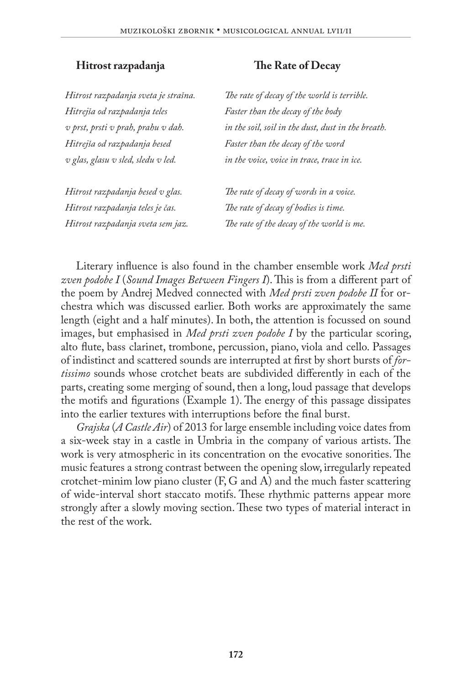*Hitrost razpadanja sveta je strašna. Hitrejša od razpadanja teles v prst, prsti v prah, prahu v dah. Hitrejša od razpadanja besed v glas, glasu v sled, sledu v led.*

*Hitrost razpadanja besed v glas. Hitrost razpadanja teles je čas. Hitrost razpadanja sveta sem jaz.*

#### **Hitrost razpadanja The Rate of Decay**

*The rate of decay of the world is terrible. Faster than the decay of the body in the soil, soil in the dust, dust in the breath. Faster than the decay of the word in the voice, voice in trace, trace in ice.*

*The rate of decay of words in a voice. The rate of decay of bodies is time. The rate of the decay of the world is me.*

Literary influence is also found in the chamber ensemble work *Med prsti zven podobe I* (*Sound Images Between Fingers I*). This is from a different part of the poem by Andrej Medved connected with *Med prsti zven podobe II* for orchestra which was discussed earlier. Both works are approximately the same length (eight and a half minutes). In both, the attention is focussed on sound images, but emphasised in *Med prsti zven podobe I* by the particular scoring, alto flute, bass clarinet, trombone, percussion, piano, viola and cello. Passages of indistinct and scattered sounds are interrupted at first by short bursts of *fortissimo* sounds whose crotchet beats are subdivided differently in each of the parts, creating some merging of sound, then a long, loud passage that develops the motifs and figurations (Example 1). The energy of this passage dissipates into the earlier textures with interruptions before the final burst.

*Grajska* (*A Castle Air*) of 2013 for large ensemble including voice dates from a six-week stay in a castle in Umbria in the company of various artists. The work is very atmospheric in its concentration on the evocative sonorities. The music features a strong contrast between the opening slow, irregularly repeated crotchet-minim low piano cluster  $(F, G \text{ and } A)$  and the much faster scattering of wide-interval short staccato motifs. These rhythmic patterns appear more strongly after a slowly moving section. These two types of material interact in the rest of the work.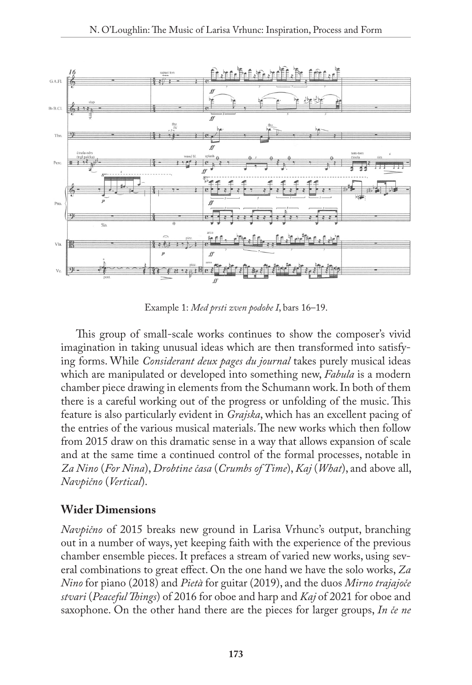

Example 1: *Med prsti zven podobe I*, bars 16–19.

This group of small-scale works continues to show the composer's vivid imagination in taking unusual ideas which are then transformed into satisfying forms. While *Considerant deux pages du journal* takes purely musical ideas which are manipulated or developed into something new, *Fabula* is a modern chamber piece drawing in elements from the Schumann work. In both of them there is a careful working out of the progress or unfolding of the music. This feature is also particularly evident in *Grajska*, which has an excellent pacing of the entries of the various musical materials. The new works which then follow from 2015 draw on this dramatic sense in a way that allows expansion of scale and at the same time a continued control of the formal processes, notable in *Za Nino* (*For Nina*), *Drobtine časa* (*Crumbs of Time*), *Kaj* (*What*), and above all, *Navpično* (*Vertical*).

# **Wider Dimensions**

*Navpično* of 2015 breaks new ground in Larisa Vrhunc's output, branching out in a number of ways, yet keeping faith with the experience of the previous chamber ensemble pieces. It prefaces a stream of varied new works, using several combinations to great effect. On the one hand we have the solo works, *Za Nino* for piano (2018) and *Pietà* for guitar (2019), and the duos *Mirno trajajoče stvari* (*Peaceful Things*) of 2016 for oboe and harp and *Kaj* of 2021 for oboe and saxophone. On the other hand there are the pieces for larger groups, *In če ne*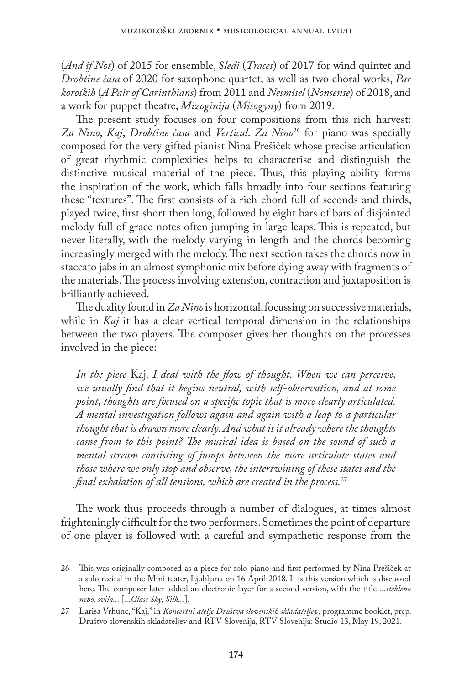(*And if Not*) of 2015 for ensemble, *Sledi* (*Traces*) of 2017 for wind quintet and *Drobtine časa* of 2020 for saxophone quartet, as well as two choral works, *Par koroških* (*A Pair of Carinthians*) from 2011 and *Nesmisel* (*Nonsense*) of 2018, and a work for puppet theatre, *Mizoginija* (*Misogyny*) from 2019.

The present study focuses on four compositions from this rich harvest: *Za Nino*, *Kaj*, *Drobtine časa* and *Vertical*. *Za Nino*26 for piano was specially composed for the very gifted pianist Nina Prešiček whose precise articulation of great rhythmic complexities helps to characterise and distinguish the distinctive musical material of the piece. Thus, this playing ability forms the inspiration of the work, which falls broadly into four sections featuring these "textures". The first consists of a rich chord full of seconds and thirds, played twice, first short then long, followed by eight bars of bars of disjointed melody full of grace notes often jumping in large leaps. This is repeated, but never literally, with the melody varying in length and the chords becoming increasingly merged with the melody. The next section takes the chords now in staccato jabs in an almost symphonic mix before dying away with fragments of the materials. The process involving extension, contraction and juxtaposition is brilliantly achieved.

The duality found in *Za Nino* is horizontal, focussing on successive materials, while in *Kaj* it has a clear vertical temporal dimension in the relationships between the two players. The composer gives her thoughts on the processes involved in the piece:

*In the piece* Kaj*, I deal with the flow of thought. When we can perceive, we usually find that it begins neutral, with self-observation, and at some point, thoughts are focused on a specific topic that is more clearly articulated. A mental investigation follows again and again with a leap to a particular thought that is drawn more clearly. And what is it already where the thoughts came from to this point? The musical idea is based on the sound of such a mental stream consisting of jumps between the more articulate states and those where we only stop and observe, the intertwining of these states and the final exhalation of all tensions, which are created in the process.*<sup>27</sup>

The work thus proceeds through a number of dialogues, at times almost frighteningly difficult for the two performers. Sometimes the point of departure of one player is followed with a careful and sympathetic response from the

<sup>26</sup> This was originally composed as a piece for solo piano and first performed by Nina Prešiček at a solo recital in the Mini teater, Ljubljana on 16 April 2018. It is this version which is discussed here. The composer later added an electronic layer for a second version, with the title *...stekleno nebo, svila...* [*...Glass Sky, Silk...*]*.*

<sup>27</sup> Larisa Vrhunc, "Kaj," in *Koncertni atelje Društva slovenskih skladateljev*, programme booklet, prep. Društvo slovenskih skladateljev and RTV Slovenija, RTV Slovenija: Studio 13, May 19, 2021.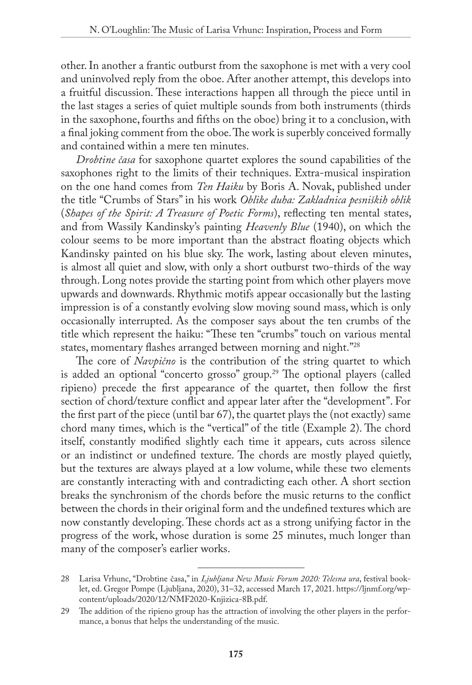other. In another a frantic outburst from the saxophone is met with a very cool and uninvolved reply from the oboe. After another attempt, this develops into a fruitful discussion. These interactions happen all through the piece until in the last stages a series of quiet multiple sounds from both instruments (thirds in the saxophone, fourths and fifths on the oboe) bring it to a conclusion, with a final joking comment from the oboe. The work is superbly conceived formally and contained within a mere ten minutes.

*Drobtine časa* for saxophone quartet explores the sound capabilities of the saxophones right to the limits of their techniques. Extra-musical inspiration on the one hand comes from *Ten Haiku* by Boris A. Novak, published under the title "Crumbs of Stars" in his work *Oblike duha: Zakladnica pesniških oblik*  (*Shapes of the Spirit: A Treasure of Poetic Forms*), reflecting ten mental states, and from Wassily Kandinsky's painting *Heavenly Blue* (1940), on which the colour seems to be more important than the abstract floating objects which Kandinsky painted on his blue sky. The work, lasting about eleven minutes, is almost all quiet and slow, with only a short outburst two-thirds of the way through. Long notes provide the starting point from which other players move upwards and downwards. Rhythmic motifs appear occasionally but the lasting impression is of a constantly evolving slow moving sound mass, which is only occasionally interrupted. As the composer says about the ten crumbs of the title which represent the haiku: "These ten "crumbs" touch on various mental states, momentary flashes arranged between morning and night."28

The core of *Navpično* is the contribution of the string quartet to which is added an optional "concerto grosso" group.<sup>29</sup> The optional players (called ripieno) precede the first appearance of the quartet, then follow the first section of chord/texture conflict and appear later after the "development". For the first part of the piece (until bar 67), the quartet plays the (not exactly) same chord many times, which is the "vertical" of the title (Example 2). The chord itself, constantly modified slightly each time it appears, cuts across silence or an indistinct or undefined texture. The chords are mostly played quietly, but the textures are always played at a low volume, while these two elements are constantly interacting with and contradicting each other. A short section breaks the synchronism of the chords before the music returns to the conflict between the chords in their original form and the undefined textures which are now constantly developing. These chords act as a strong unifying factor in the progress of the work, whose duration is some 25 minutes, much longer than many of the composer's earlier works.

<sup>28</sup> Larisa Vrhunc, "Drobtine časa," in *Ljubljana New Music Forum 2020: Telesna ura*, festival booklet, ed. Gregor Pompe (Ljubljana, 2020), 31–32, accessed March 17, 2021. [https://ljnmf.org/wp](https://ljnmf.org/wp-content/uploads/2020/12/NMF2020-Knjizica-8B.pdf)[content/uploads/2020/12/NMF2020-Knjizica-8B.pdf](https://ljnmf.org/wp-content/uploads/2020/12/NMF2020-Knjizica-8B.pdf).

<sup>29</sup> The addition of the ripieno group has the attraction of involving the other players in the performance, a bonus that helps the understanding of the music.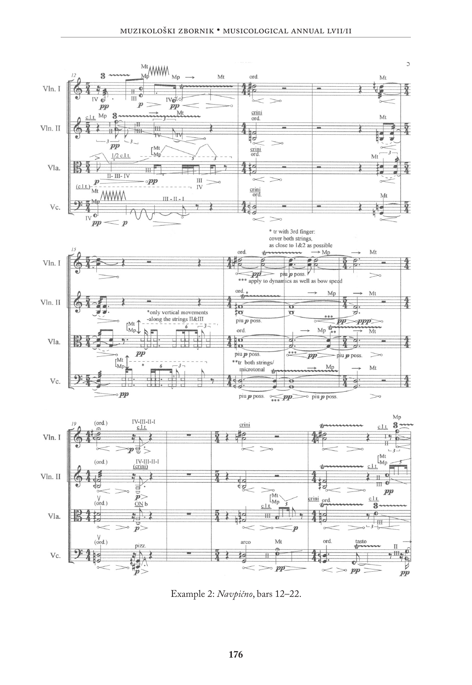

Example 2: *Navpično*, bars 12–22.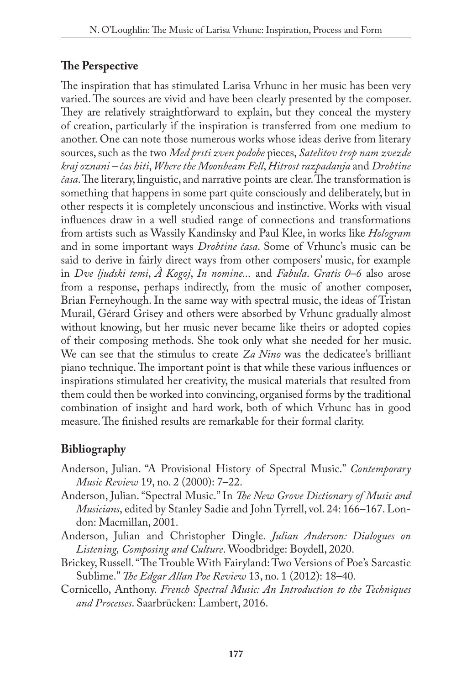# **The Perspective**

The inspiration that has stimulated Larisa Vrhunc in her music has been very varied. The sources are vivid and have been clearly presented by the composer. They are relatively straightforward to explain, but they conceal the mystery of creation, particularly if the inspiration is transferred from one medium to another. One can note those numerous works whose ideas derive from literary sources, such as the two *Med prsti zven podobe* pieces, *Satelitov trop nam zvezde kraj oznani – čas hiti*, *Where the Moonbeam Fell*, *Hitrost razpadanja* and *Drobtine časa*. The literary, linguistic, and narrative points are clear. The transformation is something that happens in some part quite consciously and deliberately, but in other respects it is completely unconscious and instinctive. Works with visual influences draw in a well studied range of connections and transformations from artists such as Wassily Kandinsky and Paul Klee, in works like *Hologram* and in some important ways *Drobtine časa*. Some of Vrhunc's music can be said to derive in fairly direct ways from other composers' music, for example in *Dve ljudski temi*, *À Kogoj*, *In nomine...* and *Fabula*. *Gratis 0–6* also arose from a response, perhaps indirectly, from the music of another composer, Brian Ferneyhough. In the same way with spectral music, the ideas of Tristan Murail, Gérard Grisey and others were absorbed by Vrhunc gradually almost without knowing, but her music never became like theirs or adopted copies of their composing methods. She took only what she needed for her music. We can see that the stimulus to create *Za Nino* was the dedicatee's brilliant piano technique. The important point is that while these various influences or inspirations stimulated her creativity, the musical materials that resulted from them could then be worked into convincing, organised forms by the traditional combination of insight and hard work, both of which Vrhunc has in good measure. The finished results are remarkable for their formal clarity.

# **Bibliography**

- Anderson, Julian. "A Provisional History of Spectral Music." *Contemporary Music Review* 19, no. 2 (2000): 7–22.
- Anderson, Julian. "Spectral Music." In *The New Grove Dictionary of Music and Musicians*, edited by Stanley Sadie and John Tyrrell, vol. 24: 166–167. London: Macmillan, 2001.
- Anderson, Julian and Christopher Dingle. *Julian Anderson: Dialogues on Listening, Composing and Culture*. Woodbridge: Boydell, 2020.
- Brickey, Russell. "The Trouble With Fairyland: Two Versions of Poe's Sarcastic Sublime." *The Edgar Allan Poe Review* 13, no. 1 (2012): 18–40.
- Cornicello, Anthony. *French Spectral Music: An Introduction to the Techniques and Processes*. Saarbrücken: Lambert, 2016.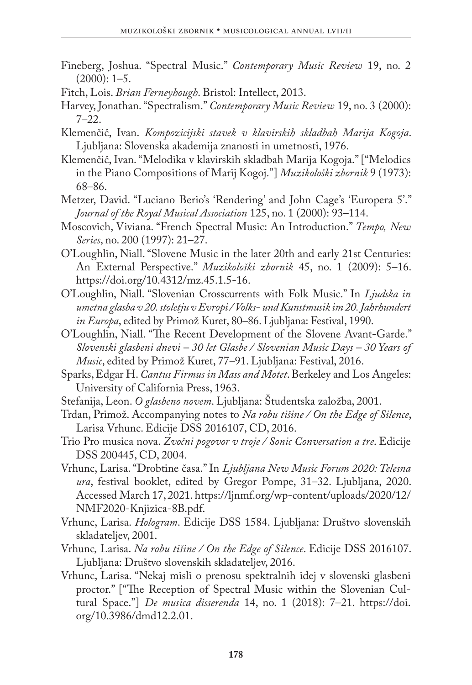- Fineberg, Joshua. "Spectral Music." *Contemporary Music Review* 19, no. 2  $(2000): 1-5.$
- Fitch, Lois. *Brian Ferneyhough*. Bristol: Intellect, 2013.
- Harvey, Jonathan. "Spectralism." *Contemporary Music Review* 19, no. 3 (2000): 7–22.
- Klemenčič, Ivan. *Kompozicijski stavek v klavirskih skladbah Marija Kogoja*. Ljubljana: Slovenska akademija znanosti in umetnosti, 1976.
- Klemenčič, Ivan. "Melodika v klavirskih skladbah Marija Kogoja." ["Melodics in the Piano Compositions of Marij Kogoj."] *Muzikološki zbornik* 9 (1973): 68–86.
- Metzer, David. "Luciano Berio's 'Rendering' and John Cage's 'Europera 5'." *Journal of the Royal Musical Association* 125, no. 1 (2000): 93–114.
- Moscovich, Viviana. "French Spectral Music: An Introduction." *Tempo, New Series*, no. 200 (1997): 21–27.
- O'Loughlin, Niall. "Slovene Music in the later 20th and early 21st Centuries: An External Perspective." *Muzikološki zbornik* 45, no. 1 (2009): 5–16. [https://doi.org/10.4312/mz.45.1.5-16.](https://doi.org/10.4312/mz.45.1.5-16)
- O'Loughlin, Niall. "Slovenian Crosscurrents with Folk Music." In *[Ljudska in](http://cobiss4.izum.si/scripts/cobiss?ukaz=DISP&id=1725156149602950&rec=-16428544&sid=1&fmt=11)  [umetna glasba v 20. stoletju v Evropi / Volks- und Kunstmusik im 20. Jahrhundert](http://cobiss4.izum.si/scripts/cobiss?ukaz=DISP&id=1725156149602950&rec=-16428544&sid=1&fmt=11)  in Europa*, edited by Primož Kuret, 80*–*[86. Ljubljana: Festival, 1990.](http://cobiss4.izum.si/scripts/cobiss?ukaz=DISP&id=1725156149602950&rec=-16428544&sid=1&fmt=11)
- O'Loughlin, Niall. "The Recent Development of the Slovene Avant-Garde." *Slovenski glasbeni dnevi – 30 let Glasbe / Slovenian Music Days – 30 Years of Music*, edited by Primož Kuret, 77*–*91. Ljubljana: Festival, 2016.
- Sparks, Edgar H. *Cantus Firmus in Mass and Motet*. Berkeley and Los Angeles: University of California Press, 1963.
- Stefanija, Leon. *O glasbeno novem*. Ljubljana: Študentska založba, 2001.
- Trdan, Primož. Accompanying notes to *Na robu tišine / On the Edge of Silence*, Larisa Vrhunc. Edicije DSS 2016107, CD, 2016.
- Trio Pro musica nova. *Zvočni pogovor v troje / Sonic Conversation a tre*. Edicije DSS 200445, CD, 2004.
- Vrhunc, Larisa. "Drobtine časa." In *Ljubljana New Music Forum 2020: Telesna ura*, festival booklet, edited by Gregor Pompe, 31–32. Ljubljana, 2020. Accessed March 17, 2021. [https://ljnmf.org/wp-content/uploads/2020/12/](https://ljnmf.org/wp-content/uploads/2020/12/NMF2020-Knjizica-8B.pdf) [NMF2020-Knjizica-8B.pdf](https://ljnmf.org/wp-content/uploads/2020/12/NMF2020-Knjizica-8B.pdf).
- Vrhunc, Larisa. *Hologram*. Edicije DSS 1584. Ljubljana: Društvo slovenskih skladateljev, 2001.
- Vrhunc*,* Larisa. *Na robu tišine / On the Edge of Silence*. Edicije DSS 2016107. Ljubljana: Društvo slovenskih skladateljev, 2016.
- Vrhunc, Larisa. "Nekaj misli o prenosu spektralnih idej v slovenski glasbeni proctor." ["The Reception of Spectral Music within the Slovenian Cultural Space."] *De musica disserenda* 14, no. 1 (2018): 7–21. https://doi. org/10.3986/dmd12.2.01.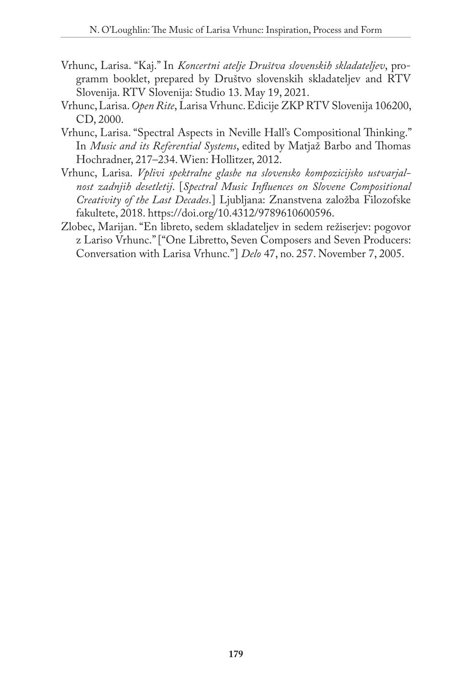- Vrhunc, Larisa. "Kaj." In *Koncertni atelje Društva slovenskih skladateljev*, programm booklet, prepared by Društvo slovenskih skladateljev and RTV Slovenija. RTV Slovenija: Studio 13. May 19, 2021.
- Vrhunc, Larisa. *Open Rite*, Larisa Vrhunc. Edicije ZKP RTV Slovenija 106200, CD, 2000.
- Vrhunc, Larisa. "Spectral Aspects in Neville Hall's Compositional Thinking." In *Music and its Referential Systems*, edited by Matjaž Barbo and Thomas Hochradner, 217–234. Wien: Hollitzer, 2012.
- Vrhunc, Larisa. *Vplivi spektralne glasbe na slovensko kompozicijsko ustvarjalnost zadnjih desetletij*. [*Spectral Music Influences on Slovene Compositional Creativity of the Last Decades*.] Ljubljana: Znanstvena založba Filozofske fakultete, 2018. [https://doi.org/10.4312/9789610600596.](https://doi.org/10.4312/9789610600596)
- Zlobec, Marijan. "En libreto, sedem skladateljev in sedem režiserjev: pogovor z Lariso Vrhunc." ["One Libretto, Seven Composers and Seven Producers: Conversation with Larisa Vrhunc."] *Delo* 47, no. 257. November 7, 2005.